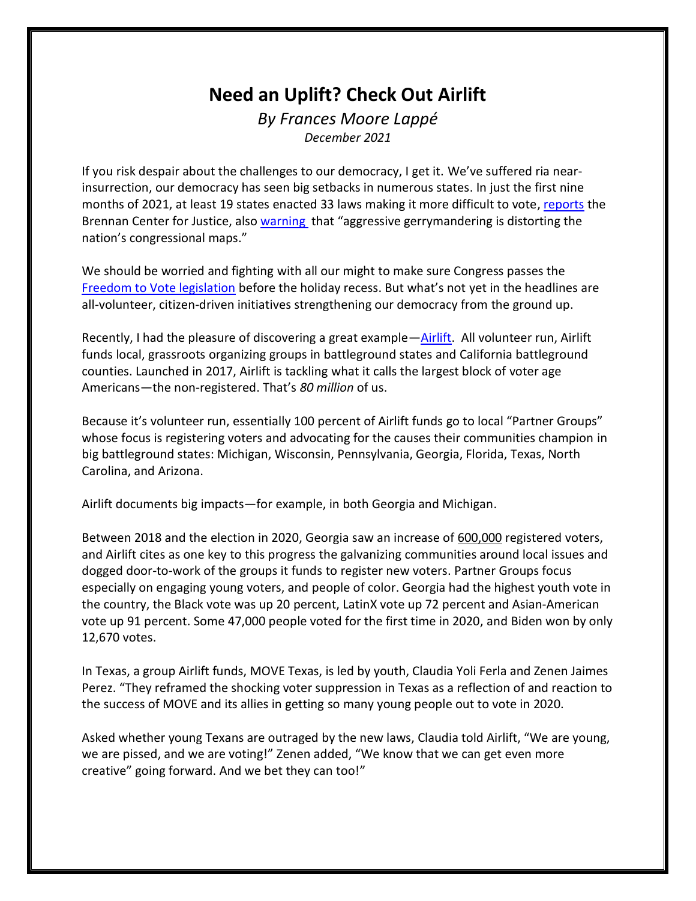## **Need an Uplift? Check Out Airlift** *By Frances Moore Lappé*

*December 2021*

If you risk despair about the challenges to our democracy, I get it. We've suffered ria nearinsurrection, our democracy has seen big setbacks in numerous states. In just the first nine months of 2021, at least 19 states enacted 33 laws making it more difficult to vote, [reports](https://www.brennancenter.org/our-work/research-reports/voting-laws-roundup-october-2021) the Brennan Center for Justice, also [warning](https://www.brennancenter.org/sites/default/files/2019-08/Report_Extreme%20Maps%205.16_0.pdf) that "aggressive gerrymandering is distorting the nation's congressional maps."

We should be worried and fighting with all our might to make sure Congress passes the [Freedom to Vote legislation](https://www.brennancenter.org/our-work/research-reports/freedom-vote-act) before the holiday recess. But what's not yet in the headlines are all-volunteer, citizen-driven initiatives strengthening our democracy from the ground up.

Recently, I had the pleasure of discovering a great example—[Airlift.](https://airlift.fund/) All volunteer run, Airlift funds local, grassroots organizing groups in battleground states and California battleground counties. Launched in 2017, Airlift is tackling what it calls the largest block of voter age Americans—the non-registered. That's *80 million* of us.

Because it's volunteer run, essentially 100 percent of Airlift funds go to local "Partner Groups" whose focus is registering voters and advocating for the causes their communities champion in big battleground states: Michigan, Wisconsin, Pennsylvania, Georgia, Florida, Texas, North Carolina, and Arizona.

Airlift documents big impacts—for example, in both Georgia and Michigan.

Between 2018 and the election in 2020, Georgia saw an increase of [600,000](https://sos.ga.gov/index.php/elections/georgia_easy_voter_registration_options_break_new_records) registered voters, and Airlift cites as one key to this progress the galvanizing communities around local issues and dogged door-to-work of the groups it funds to register new voters. Partner Groups focus especially on engaging young voters, and people of color. Georgia had the highest youth vote in the country, the Black vote was up 20 percent, LatinX vote up 72 percent and Asian-American vote up 91 percent. Some 47,000 people voted for the first time in 2020, and Biden won by only 12,670 votes.

In Texas, a group Airlift funds, MOVE Texas, is led by youth, Claudia Yoli Ferla and Zenen Jaimes Perez. "They reframed the shocking voter suppression in Texas as a reflection of and reaction to the success of MOVE and its allies in getting so many young people out to vote in 2020.

Asked whether young Texans are outraged by the new laws, Claudia told Airlift, "We are young, we are pissed, and we are voting!" Zenen added, "We know that we can get even more creative" going forward. And we bet they can too!"